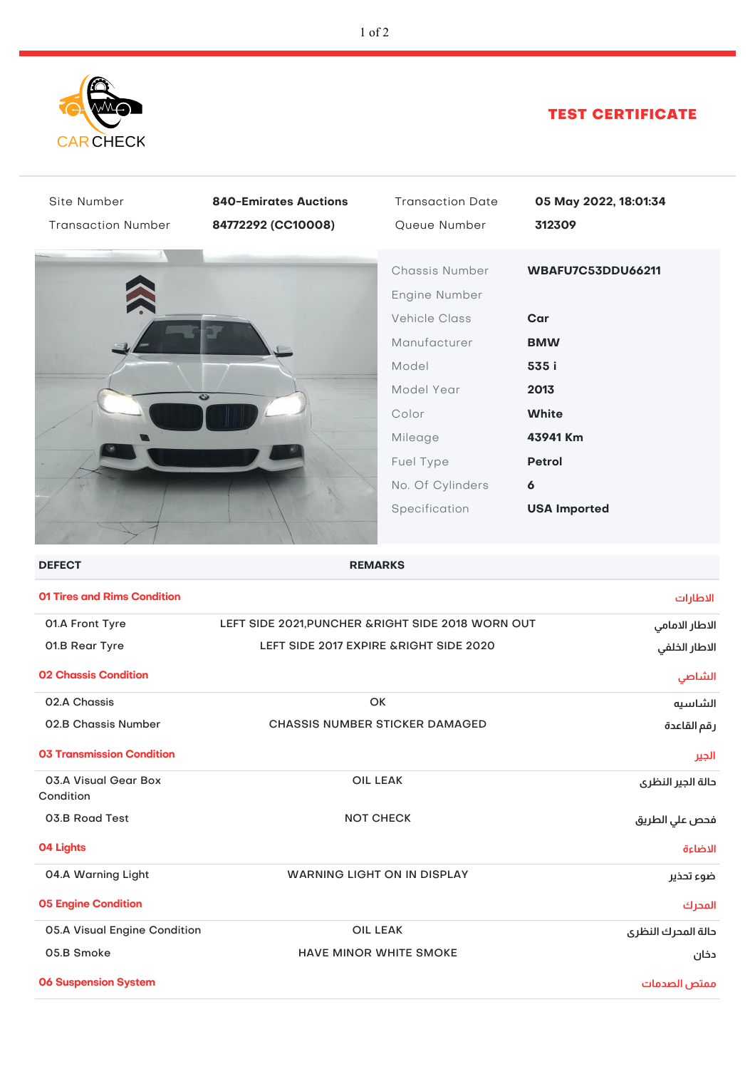

## TEST CERTIFICATE

| Site Number<br><b>Transaction Number</b> | <b>840-Emirates Auctions</b><br>84772292 (CC10008)       | <b>Transaction Date</b><br>Queue Number                                                                                                                              | 05 May 2022, 18:01:34<br>312309                                                                                                                 |  |  |
|------------------------------------------|----------------------------------------------------------|----------------------------------------------------------------------------------------------------------------------------------------------------------------------|-------------------------------------------------------------------------------------------------------------------------------------------------|--|--|
|                                          |                                                          | Chassis Number<br>Engine Number<br><b>Vehicle Class</b><br>Manufacturer<br>Model<br>Model Year<br>Color<br>Mileage<br>Fuel Type<br>No. Of Cylinders<br>Specification | WBAFU7C53DDU66211<br>Car<br><b>BMW</b><br>535 i<br>2013<br><b>White</b><br>43941 Km<br><b>Petrol</b><br>$\boldsymbol{6}$<br><b>USA Imported</b> |  |  |
| <b>DEFECT</b>                            |                                                          | <b>REMARKS</b>                                                                                                                                                       |                                                                                                                                                 |  |  |
| <b>01 Tires and Rims Condition</b>       |                                                          |                                                                                                                                                                      | الاطارات                                                                                                                                        |  |  |
| 01.A Front Tyre                          | LEFT SIDE 2021, PUNCHER & RIGHT SIDE 2018 WORN OUT       |                                                                                                                                                                      | الاطار الامامي                                                                                                                                  |  |  |
| 01.B Rear Tyre                           | LEFT SIDE 2017 EXPIRE & RIGHT SIDE 2020<br>الاطار الخلفي |                                                                                                                                                                      |                                                                                                                                                 |  |  |
| <b>02 Chassis Condition</b>              |                                                          |                                                                                                                                                                      | الشاصي                                                                                                                                          |  |  |
| 02.A Chassis                             |                                                          | OK                                                                                                                                                                   |                                                                                                                                                 |  |  |
| 02.B Chassis Number                      | <b>CHASSIS NUMBER STICKER DAMAGED</b>                    | رقم القاعدة                                                                                                                                                          |                                                                                                                                                 |  |  |
| <b>03 Transmission Condition</b>         |                                                          |                                                                                                                                                                      | الجير                                                                                                                                           |  |  |
| 03.A Visual Gear Box                     | <b>OIL LEAK</b>                                          | دالة الجير النظرى                                                                                                                                                    |                                                                                                                                                 |  |  |
| Condition<br>03.B Road Test              |                                                          | <b>NOT CHECK</b>                                                                                                                                                     |                                                                                                                                                 |  |  |
|                                          |                                                          | فحص علي الطريق                                                                                                                                                       |                                                                                                                                                 |  |  |
| <b>04 Lights</b>                         |                                                          |                                                                                                                                                                      | الاضاءة                                                                                                                                         |  |  |
| 04.A Warning Light                       | <b>WARNING LIGHT ON IN DISPLAY</b>                       | ضوء تحذير                                                                                                                                                            |                                                                                                                                                 |  |  |
| <b>05 Engine Condition</b>               |                                                          |                                                                                                                                                                      | المحرك                                                                                                                                          |  |  |
| 05.A Visual Engine Condition             | <b>OIL LEAK</b><br>دالة المدرك النظرى                    |                                                                                                                                                                      |                                                                                                                                                 |  |  |
| 05.B Smoke                               | <b>HAVE MINOR WHITE SMOKE</b><br>دخان                    |                                                                                                                                                                      |                                                                                                                                                 |  |  |
| <b>06 Suspension System</b>              |                                                          |                                                                                                                                                                      | ممتص الصدمات                                                                                                                                    |  |  |